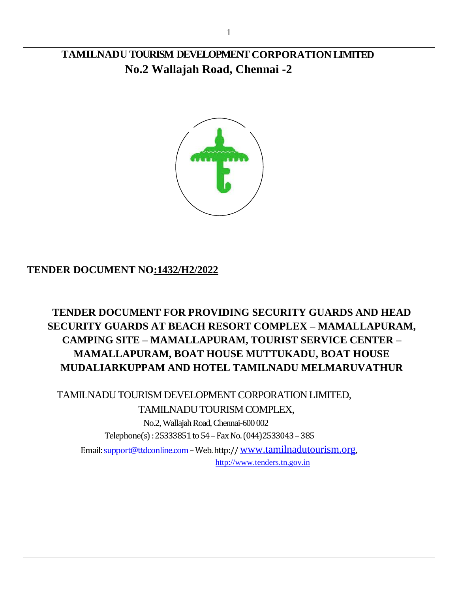# **TAMILNADU TOURISM DEVELOPMENT CORPORATION LIMITED No.2 Wallajah Road, Chennai -2**



### **TENDER DOCUMENT NO:1432/H2/2022**

# **TENDER DOCUMENT FOR PROVIDING SECURITY GUARDS AND HEAD SECURITY GUARDS AT BEACH RESORT COMPLEX – MAMALLAPURAM, CAMPING SITE – MAMALLAPURAM, TOURIST SERVICE CENTER – MAMALLAPURAM, BOAT HOUSE MUTTUKADU, BOAT HOUSE MUDALIARKUPPAM AND HOTEL TAMILNADU MELMARUVATHUR**

 TAMILNADU TOURISM DEVELOPMENT CORPORATION LIMITED, TAMILNADU TOURISM COMPLEX,

> No.2, Wallajah Road, Chennai-600 002 Telephone(s) : 25333851 to 54 –Fax No. (044)2533043 –385

Email[: support@ttdconline.com](mailto:support@ttdconline.com)–Web. http:// [www.tamilnadutourism.org](http://www.tamilnadutourism.org/), [http://www.tenders.tn.gov.in](http://www.tenders.tn.gov.in/)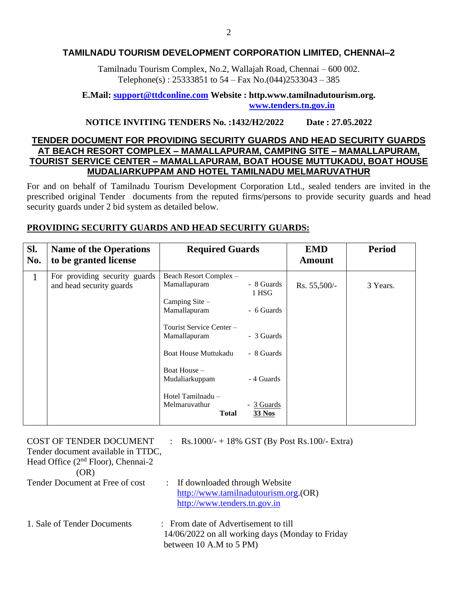#### **TAMILNADU TOURISM DEVELOPMENT CORPORATION LIMITED, CHENNAI–2**

Tamilnadu Tourism Complex, No.2, Wallajah Road, Chennai – 600 002. Telephone(s) :  $25333851$  to  $54 - Fax$  No.(044)2533043 - 385

#### **E.Mail: [support@ttdconline.com](mailto:support@ttdconline.com) Website : http.www.tamilnadutourism.org. [www.tenders.tn.gov.in](http://www.tenders.tn.gov.in/)**

#### **NOTICE INVITING TENDERS No. :1432/H2/2022 Date : 27.05.2022**

#### **TENDER DOCUMENT FOR PROVIDING SECURITY GUARDS AND HEAD SECURITY GUARDS AT BEACH RESORT COMPLEX – MAMALLAPURAM, CAMPING SITE – MAMALLAPURAM, TOURIST SERVICE CENTER – MAMALLAPURAM, BOAT HOUSE MUTTUKADU, BOAT HOUSE MUDALIARKUPPAM AND HOTEL TAMILNADU MELMARUVATHUR**

For and on behalf of Tamilnadu Tourism Development Corporation Ltd., sealed tenders are invited in the prescribed original Tender documents from the reputed firms/persons to provide security guards and head security guards under 2 bid system as detailed below.

#### **PROVIDING SECURITY GUARDS AND HEAD SECURITY GUARDS:**

| SI.<br>No. | <b>Name of the Operations</b><br>to be granted license    | <b>Required Guards</b>                                                                                                                                                                                                                      |                                                                                                            | <b>EMD</b><br><b>Amount</b> | <b>Period</b> |
|------------|-----------------------------------------------------------|---------------------------------------------------------------------------------------------------------------------------------------------------------------------------------------------------------------------------------------------|------------------------------------------------------------------------------------------------------------|-----------------------------|---------------|
| 1          | For providing security guards<br>and head security guards | Beach Resort Complex -<br>Mamallapuram<br>Camping Site -<br>Mamallapuram<br>Tourist Service Center -<br>Mamallapuram<br><b>Boat House Muttukadu</b><br>Boat House -<br>Mudaliarkuppam<br>Hotel Tamilnadu -<br>Melmaruvathur<br><b>Total</b> | - 8 Guards<br>1 HSG<br>- 6 Guards<br>- 3 Guards<br>- 8 Guards<br>- 4 Guards<br>- 3 Guards<br><b>33 Nos</b> | Rs. 55,500/-                | 3 Years.      |

| COST OF TENDER DOCUMENT<br>Tender document available in TTDC,<br>Head Office $(2nd Floor)$ , Chennai-2<br>(OR) |  | : Rs.1000/- + 18% GST (By Post Rs.100/- Extra)                                                                      |
|----------------------------------------------------------------------------------------------------------------|--|---------------------------------------------------------------------------------------------------------------------|
| Tender Document at Free of cost                                                                                |  | If downloaded through Website<br>http://www.tamilnadutourism.org.(OR)<br>http://www.tenders.tn.gov.in               |
| 1. Sale of Tender Documents                                                                                    |  | : From date of Advertisement to till<br>14/06/2022 on all working days (Monday to Friday<br>between 10 A.M to 5 PM) |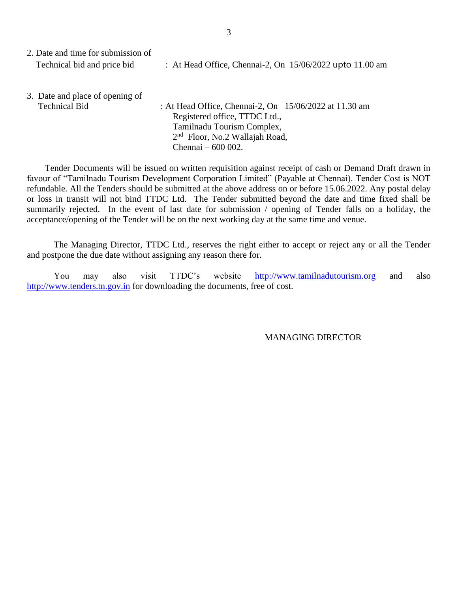| 2. Date and time for submission of |                                                          |  |
|------------------------------------|----------------------------------------------------------|--|
| Technical bid and price bid        | : At Head Office, Chennai-2, On 15/06/2022 upto 11.00 am |  |

3. Date and place of opening of Technical Bid : At Head Office, Chennai-2, On 15/06/2022 at 11.30 am Registered office, TTDC Ltd., Tamilnadu Tourism Complex, 2<sup>nd</sup> Floor, No.2 Wallajah Road, Chennai – 600 002.

 Tender Documents will be issued on written requisition against receipt of cash or Demand Draft drawn in favour of "Tamilnadu Tourism Development Corporation Limited" (Payable at Chennai). Tender Cost is NOT refundable. All the Tenders should be submitted at the above address on or before 15.06.2022. Any postal delay or loss in transit will not bind TTDC Ltd. The Tender submitted beyond the date and time fixed shall be summarily rejected. In the event of last date for submission / opening of Tender falls on a holiday, the acceptance/opening of the Tender will be on the next working day at the same time and venue.

The Managing Director, TTDC Ltd., reserves the right either to accept or reject any or all the Tender and postpone the due date without assigning any reason there for.

You may also visit TTDC's website [http://www.tamilnadutourism.org](http://www.tamilnadutourism.org/) and also [http://www.tenders.tn.gov.in](http://www.tenders.tn.gov.in/) for downloading the documents, free of cost.

MANAGING DIRECTOR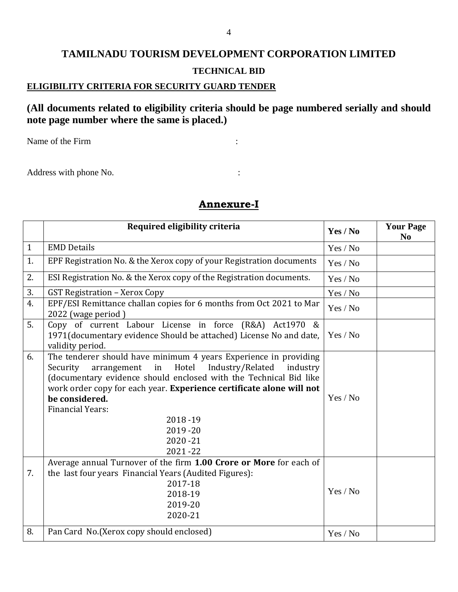# **TAMILNADU TOURISM DEVELOPMENT CORPORATION LIMITED TECHNICAL BID**

#### **ELIGIBILITY CRITERIA FOR SECURITY GUARD TENDER**

### **(All documents related to eligibility criteria should be page numbered serially and should note page number where the same is placed.)**

Name of the Firm  $\cdot$  :

Address with phone No.  $\cdot$  :

|              | Required eligibility criteria                                                                                                                                                                                                                                                                                                                                                            | Yes / No | <b>Your Page</b><br>N <sub>0</sub> |
|--------------|------------------------------------------------------------------------------------------------------------------------------------------------------------------------------------------------------------------------------------------------------------------------------------------------------------------------------------------------------------------------------------------|----------|------------------------------------|
| $\mathbf{1}$ | <b>EMD Details</b>                                                                                                                                                                                                                                                                                                                                                                       | Yes / No |                                    |
| 1.           | EPF Registration No. & the Xerox copy of your Registration documents                                                                                                                                                                                                                                                                                                                     | Yes / No |                                    |
| 2.           | ESI Registration No. & the Xerox copy of the Registration documents.                                                                                                                                                                                                                                                                                                                     | Yes / No |                                    |
| 3.           | <b>GST Registration - Xerox Copy</b>                                                                                                                                                                                                                                                                                                                                                     | Yes / No |                                    |
| 4.           | EPF/ESI Remittance challan copies for 6 months from Oct 2021 to Mar<br>2022 (wage period)                                                                                                                                                                                                                                                                                                | Yes / No |                                    |
| 5.           | Copy of current Labour License in force (R&A) Act1970 &<br>1971(documentary evidence Should be attached) License No and date,<br>validity period.                                                                                                                                                                                                                                        | Yes / No |                                    |
| 6.           | The tenderer should have minimum 4 years Experience in providing<br>Security<br>Hotel<br>Industry/Related<br>arrangement<br>industry<br>in<br>(documentary evidence should enclosed with the Technical Bid like<br>work order copy for each year. Experience certificate alone will not<br>be considered.<br><b>Financial Years:</b><br>2018-19<br>$2019 - 20$<br>$2020 - 21$<br>2021-22 | Yes / No |                                    |
| 7.           | Average annual Turnover of the firm 1.00 Crore or More for each of<br>the last four years Financial Years (Audited Figures):<br>2017-18<br>2018-19<br>2019-20<br>2020-21                                                                                                                                                                                                                 | Yes / No |                                    |
| 8.           | Pan Card No.(Xerox copy should enclosed)                                                                                                                                                                                                                                                                                                                                                 | Yes / No |                                    |

#### **Annexure-I**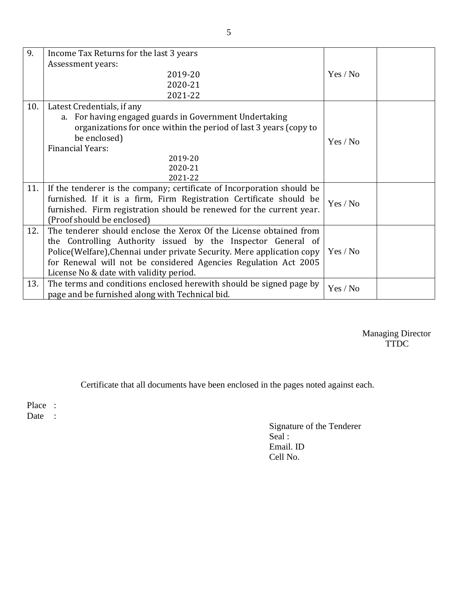| 9.  | Income Tax Returns for the last 3 years                                |          |  |
|-----|------------------------------------------------------------------------|----------|--|
|     | Assessment years:                                                      |          |  |
|     | 2019-20                                                                | Yes / No |  |
|     | 2020-21                                                                |          |  |
|     | 2021-22                                                                |          |  |
| 10. | Latest Credentials, if any                                             |          |  |
|     | a. For having engaged guards in Government Undertaking                 |          |  |
|     | organizations for once within the period of last 3 years (copy to      |          |  |
|     | be enclosed)                                                           | Yes / No |  |
|     | <b>Financial Years:</b>                                                |          |  |
|     | 2019-20                                                                |          |  |
|     | 2020-21                                                                |          |  |
|     | 2021-22                                                                |          |  |
| 11. | If the tenderer is the company; certificate of Incorporation should be |          |  |
|     | furnished. If it is a firm, Firm Registration Certificate should be    | Yes / No |  |
|     | furnished. Firm registration should be renewed for the current year.   |          |  |
|     | (Proof should be enclosed)                                             |          |  |
| 12. | The tenderer should enclose the Xerox Of the License obtained from     |          |  |
|     | the Controlling Authority issued by the Inspector General of           |          |  |
|     | Police(Welfare), Chennai under private Security. Mere application copy | Yes / No |  |
|     | for Renewal will not be considered Agencies Regulation Act 2005        |          |  |
|     | License No & date with validity period.                                |          |  |
| 13. | The terms and conditions enclosed herewith should be signed page by    | Yes / No |  |
|     | page and be furnished along with Technical bid.                        |          |  |

Managing Director **TTDC** 

Certificate that all documents have been enclosed in the pages noted against each.

Place :

Date :

Signature of the Tenderer Seal : Email. ID Cell No.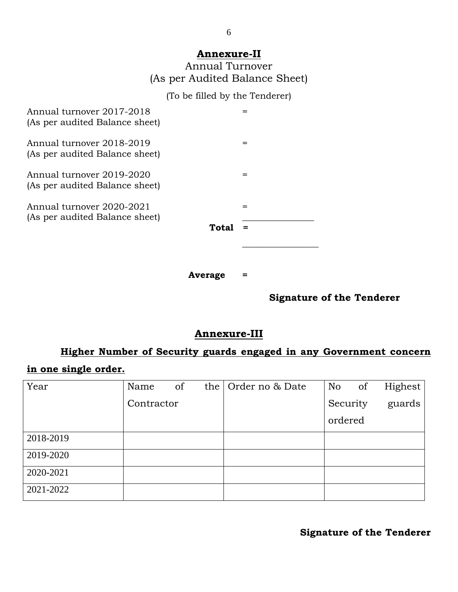#### **Annexure-II**

| Annual Turnover                |  |
|--------------------------------|--|
| (As per Audited Balance Sheet) |  |

# (To be filled by the Tenderer)

| Annual turnover 2017-2018<br>(As per audited Balance sheet) |       |  |
|-------------------------------------------------------------|-------|--|
| Annual turnover 2018-2019<br>(As per audited Balance sheet) |       |  |
| Annual turnover 2019-2020<br>(As per audited Balance sheet) |       |  |
| Annual turnover 2020-2021<br>(As per audited Balance sheet) | Total |  |
|                                                             |       |  |

**Average =**

## **Signature of the Tenderer**

# **Annexure-III**

# **Higher Number of Security guards engaged in any Government concern**

## **in one single order.**

| Year      | Name       | of | the   Order no & Date | No       | of | Highest |
|-----------|------------|----|-----------------------|----------|----|---------|
|           | Contractor |    |                       | Security |    | guards  |
|           |            |    |                       | ordered  |    |         |
| 2018-2019 |            |    |                       |          |    |         |
| 2019-2020 |            |    |                       |          |    |         |
| 2020-2021 |            |    |                       |          |    |         |
| 2021-2022 |            |    |                       |          |    |         |

**Signature of the Tenderer**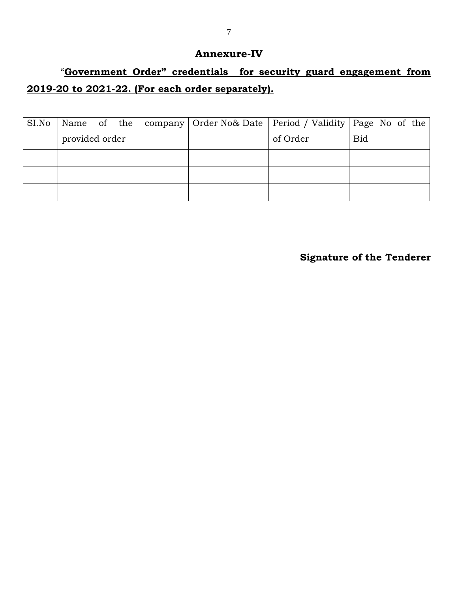#### **Annexure-IV**

# "**Government Order" credentials for security guard engagement from 2019-20 to 2021-22. (For each order separately).**

| SI.No |                |  |  |          | Name of the company   Order No& Date   Period / Validity   Page No of the |
|-------|----------------|--|--|----------|---------------------------------------------------------------------------|
|       | provided order |  |  | of Order | <b>Bid</b>                                                                |
|       |                |  |  |          |                                                                           |
|       |                |  |  |          |                                                                           |
|       |                |  |  |          |                                                                           |

**Signature of the Tenderer**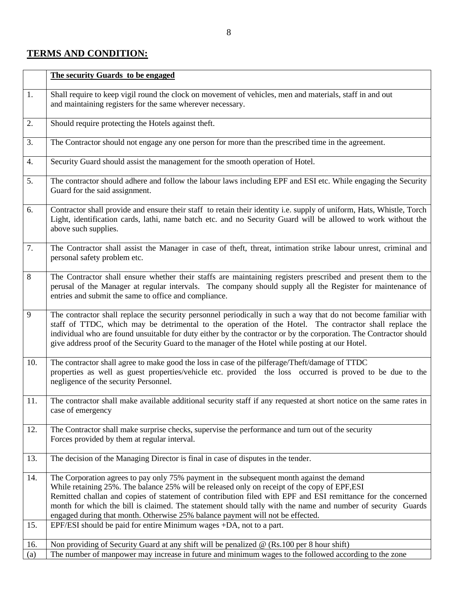## **TERMS AND CONDITION:**

|                  | The security Guards to be engaged                                                                                                                                                                                                                                                                                                                                                                                                                                                                           |
|------------------|-------------------------------------------------------------------------------------------------------------------------------------------------------------------------------------------------------------------------------------------------------------------------------------------------------------------------------------------------------------------------------------------------------------------------------------------------------------------------------------------------------------|
| 1.               | Shall require to keep vigil round the clock on movement of vehicles, men and materials, staff in and out<br>and maintaining registers for the same wherever necessary.                                                                                                                                                                                                                                                                                                                                      |
| 2.               | Should require protecting the Hotels against theft.                                                                                                                                                                                                                                                                                                                                                                                                                                                         |
| 3.               | The Contractor should not engage any one person for more than the prescribed time in the agreement.                                                                                                                                                                                                                                                                                                                                                                                                         |
| $\overline{4}$ . | Security Guard should assist the management for the smooth operation of Hotel.                                                                                                                                                                                                                                                                                                                                                                                                                              |
| 5.               | The contractor should adhere and follow the labour laws including EPF and ESI etc. While engaging the Security<br>Guard for the said assignment.                                                                                                                                                                                                                                                                                                                                                            |
| 6.               | Contractor shall provide and ensure their staff to retain their identity i.e. supply of uniform, Hats, Whistle, Torch<br>Light, identification cards, lathi, name batch etc. and no Security Guard will be allowed to work without the<br>above such supplies.                                                                                                                                                                                                                                              |
| 7.               | The Contractor shall assist the Manager in case of theft, threat, intimation strike labour unrest, criminal and<br>personal safety problem etc.                                                                                                                                                                                                                                                                                                                                                             |
| $8\,$            | The Contractor shall ensure whether their staffs are maintaining registers prescribed and present them to the<br>perusal of the Manager at regular intervals. The company should supply all the Register for maintenance of<br>entries and submit the same to office and compliance.                                                                                                                                                                                                                        |
| 9                | The contractor shall replace the security personnel periodically in such a way that do not become familiar with<br>staff of TTDC, which may be detrimental to the operation of the Hotel. The contractor shall replace the<br>individual who are found unsuitable for duty either by the contractor or by the corporation. The Contractor should<br>give address proof of the Security Guard to the manager of the Hotel while posting at our Hotel.                                                        |
| 10.              | The contractor shall agree to make good the loss in case of the pilferage/Theft/damage of TTDC<br>properties as well as guest properties/vehicle etc. provided the loss occurred is proved to be due to the<br>negligence of the security Personnel.                                                                                                                                                                                                                                                        |
| 11.              | The contractor shall make available additional security staff if any requested at short notice on the same rates in<br>case of emergency                                                                                                                                                                                                                                                                                                                                                                    |
| 12.              | The Contractor shall make surprise checks, supervise the performance and turn out of the security<br>Forces provided by them at regular interval.                                                                                                                                                                                                                                                                                                                                                           |
| 13.              | The decision of the Managing Director is final in case of disputes in the tender.                                                                                                                                                                                                                                                                                                                                                                                                                           |
| 14.              | The Corporation agrees to pay only 75% payment in the subsequent month against the demand<br>While retaining 25%. The balance 25% will be released only on receipt of the copy of EPF, ESI<br>Remitted challan and copies of statement of contribution filed with EPF and ESI remittance for the concerned<br>month for which the bill is claimed. The statement should tally with the name and number of security Guards<br>engaged during that month. Otherwise 25% balance payment will not be effected. |
| 15.              | EPF/ESI should be paid for entire Minimum wages +DA, not to a part.                                                                                                                                                                                                                                                                                                                                                                                                                                         |
| 16.<br>(a)       | Non providing of Security Guard at any shift will be penalized $\omega$ (Rs.100 per 8 hour shift)<br>The number of manpower may increase in future and minimum wages to the followed according to the zone                                                                                                                                                                                                                                                                                                  |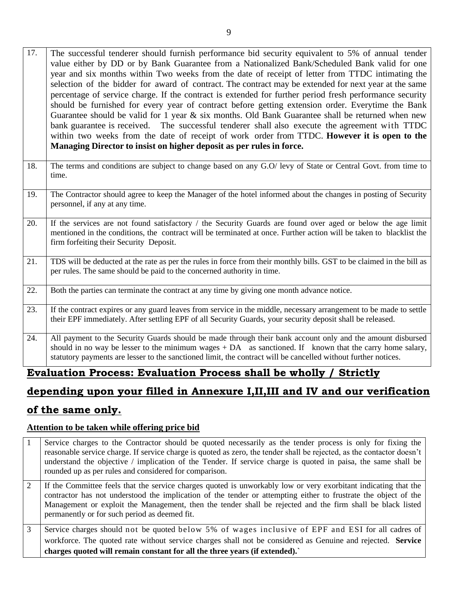- 17. The successful tenderer should furnish performance bid security equivalent to 5% of annual tender value either by DD or by Bank Guarantee from a Nationalized Bank/Scheduled Bank valid for one year and six months within Two weeks from the date of receipt of letter from TTDC intimating the selection of the bidder for award of contract. The contract may be extended for next year at the same percentage of service charge. If the contract is extended for further period fresh performance security should be furnished for every year of contract before getting extension order. Everytime the Bank Guarantee should be valid for 1 year  $\&$  six months. Old Bank Guarantee shall be returned when new bank guarantee is received. The successful tenderer shall also execute the agreement with TTDC within two weeks from the date of receipt of work order from TTDC. **However it is open to the Managing Director to insist on higher deposit as per rules in force.**
- 18. The terms and conditions are subject to change based on any G.O/ levy of State or Central Govt. from time to time.
- 19. The Contractor should agree to keep the Manager of the hotel informed about the changes in posting of Security personnel, if any at any time.
- 20. If the services are not found satisfactory / the Security Guards are found over aged or below the age limit mentioned in the conditions, the contract will be terminated at once. Further action will be taken to blacklist the firm forfeiting their Security Deposit.
- 21. TDS will be deducted at the rate as per the rules in force from their monthly bills. GST to be claimed in the bill as per rules. The same should be paid to the concerned authority in time.
- 22. Both the parties can terminate the contract at any time by giving one month advance notice.
- 23. If the contract expires or any guard leaves from service in the middle, necessary arrangement to be made to settle their EPF immediately. After settling EPF of all Security Guards, your security deposit shall be released.
- 24. All payment to the Security Guards should be made through their bank account only and the amount disbursed should in no way be lesser to the minimum wages  $+DA$  as sanctioned. If known that the carry home salary, statutory payments are lesser to the sanctioned limit, the contract will be cancelled without further notices.

# **Evaluation Process: Evaluation Process shall be wholly / Strictly**

# **depending upon your filled in Annexure I,II,III and IV and our verification**

## **of the same only.**

#### **Attention to be taken while offering price bid**

1 Service charges to the Contractor should be quoted necessarily as the tender process is only for fixing the reasonable service charge. If service charge is quoted as zero, the tender shall be rejected, as the contactor doesn't understand the objective / implication of the Tender. If service charge is quoted in paisa, the same shall be rounded up as per rules and considered for comparison. 2 If the Committee feels that the service charges quoted is unworkably low or very exorbitant indicating that the contractor has not understood the implication of the tender or attempting either to frustrate the object of the Management or exploit the Management, then the tender shall be rejected and the firm shall be black listed permanently or for such period as deemed fit. 3 Service charges should not be quoted below 5% of wages inclusive of EPF and ESI for all cadres of workforce. The quoted rate without service charges shall not be considered as Genuine and rejected. **Service charges quoted will remain constant for all the three years (if extended).`**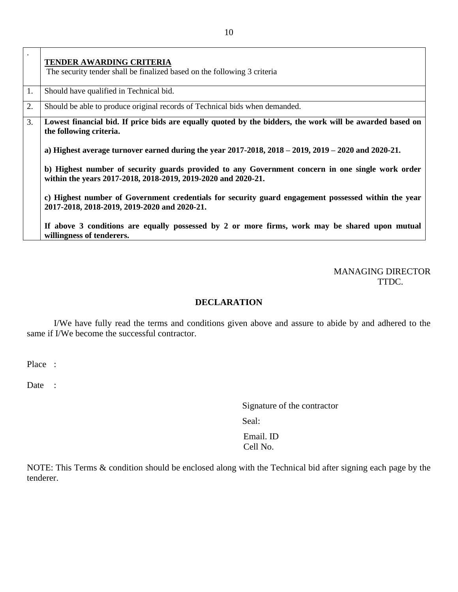|    | <b>TENDER AWARDING CRITERIA</b>                                                                                                                                   |
|----|-------------------------------------------------------------------------------------------------------------------------------------------------------------------|
|    | The security tender shall be finalized based on the following 3 criteria                                                                                          |
| 1. | Should have qualified in Technical bid.                                                                                                                           |
| 2. | Should be able to produce original records of Technical bids when demanded.                                                                                       |
| 3. | Lowest financial bid. If price bids are equally quoted by the bidders, the work will be awarded based on<br>the following criteria.                               |
|    | a) Highest average turnover earned during the year $2017-2018$ , $2018-2019$ , $2019-2020$ and $2020-21$ .                                                        |
|    | b) Highest number of security guards provided to any Government concern in one single work order<br>within the years 2017-2018, 2018-2019, 2019-2020 and 2020-21. |
|    | c) Highest number of Government credentials for security guard engagement possessed within the year<br>2017-2018, 2018-2019, 2019-2020 and 2020-21.               |
|    | If above 3 conditions are equally possessed by 2 or more firms, work may be shared upon mutual<br>willingness of tenderers.                                       |

MANAGING DIRECTOR TTDC.

#### **DECLARATION**

I/We have fully read the terms and conditions given above and assure to abide by and adhered to the same if I/We become the successful contractor.

Place :

Date :

Signature of the contractor Seal: Email. ID Cell No.

NOTE: This Terms & condition should be enclosed along with the Technical bid after signing each page by the tenderer.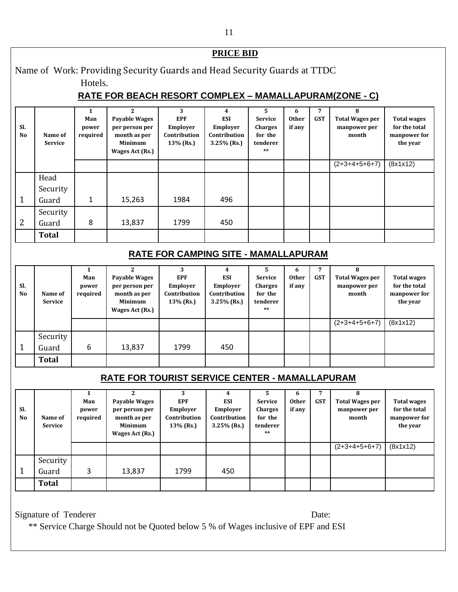#### **PRICE BID** Name of Work: Providing Security Guards and Head Security Guards at TTDC Hotels. **RATE FOR BEACH RESORT COMPLEX – MAMALLAPURAM(ZONE - C) Sl. No Name of Service 1 Man power required 2 Payable Wages per person per month as per Minimum Wages Act (Rs.) 3 EPF Employer Contribution 13% (Rs.) 4 ESI Employer Contribution 3.25% (Rs.) 5 Service Charges for the tenderer \*\* 6 Other if any 7 GST 8 Total Wages per manpower per month Total wages for the total manpower for the year**  $(2+3+4+5+6+7)$  (8x1x12) 1 Head Security Guard | 1 | 15,263 | 1984 | 496 2 Security Guard | 8 | 13,837 | 1799 | 450 **Total RATE FOR CAMPING SITE - MAMALLAPURAM Sl. No Name of Service 1 Man power required 2 Payable Wages per person per month as per Minimum Wages Act (Rs.) 3 EPF Employer Contribution 13% (Rs.) 4 ESI Employer Contribution 3.25% (Rs.) 5 Service Charges for the tenderer \*\* 6 Other if any 7 GST 8 Total Wages per manpower per month Total wages for the total manpower for the year** (2+3+4+5+6+7) (8x1x12) 1 Security Guard | 6 | 13,837 | 1799 | 450 **Total RATE FOR TOURIST SERVICE CENTER - MAMALLAPURAM Sl. No Name of Service 1 Man power required 2 Payable Wages per person per month as per Minimum Wages Act (Rs.) 3 EPF Employer Contribution 13% (Rs.) 4 ESI Employer Contribution 3.25% (Rs.) 5 Service Charges for the tenderer \*\* 6 Other if any 7 GST 8 Total Wages per manpower per month Total wages for the total manpower for the year** (2+3+4+5+6+7) (8x1x12) 1 Security Guard | 3 | 13,837 | 1799 | 450 **Total** Signature of Tenderer Date:

\*\* Service Charge Should not be Quoted below 5 % of Wages inclusive of EPF and ESI